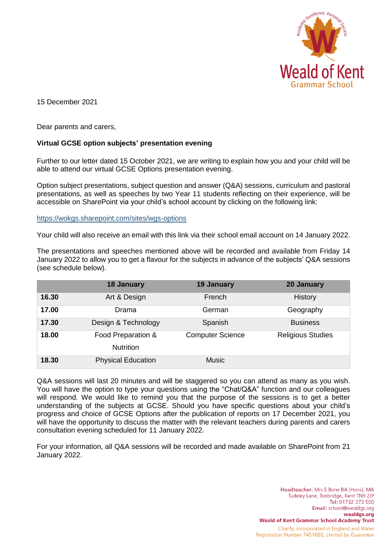

15 December 2021

Dear parents and carers,

## **Virtual GCSE option subjects' presentation evening**

Further to our letter dated 15 October 2021, we are writing to explain how you and your child will be able to attend our virtual GCSE Options presentation evening.

Option subject presentations, subject question and answer (Q&A) sessions, curriculum and pastoral presentations, as well as speeches by two Year 11 students reflecting on their experience, will be accessible on SharePoint via your child's school account by clicking on the following link:

<https://wokgs.sharepoint.com/sites/wgs-options>

Your child will also receive an email with this link via their school email account on 14 January 2022.

The presentations and speeches mentioned above will be recorded and available from Friday 14 January 2022 to allow you to get a flavour for the subjects in advance of the subjects' Q&A sessions (see schedule below).

|       | <b>18 January</b>                      | 19 January              | 20 January               |
|-------|----------------------------------------|-------------------------|--------------------------|
| 16.30 | Art & Design                           | French                  | History                  |
| 17.00 | Drama                                  | German                  | Geography                |
| 17.30 | Design & Technology                    | Spanish                 | <b>Business</b>          |
| 18.00 | Food Preparation &<br><b>Nutrition</b> | <b>Computer Science</b> | <b>Religious Studies</b> |
| 18.30 | <b>Physical Education</b>              | <b>Music</b>            |                          |

Q&A sessions will last 20 minutes and will be staggered so you can attend as many as you wish. You will have the option to type your questions using the "Chat/Q&A" function and our colleagues will respond. We would like to remind you that the purpose of the sessions is to get a better understanding of the subjects at GCSE. Should you have specific questions about your child's progress and choice of GCSE Options after the publication of reports on 17 December 2021, you will have the opportunity to discuss the matter with the relevant teachers during parents and carers consultation evening scheduled for 11 January 2022.

For your information, all Q&A sessions will be recorded and made available on SharePoint from 21 January 2022.